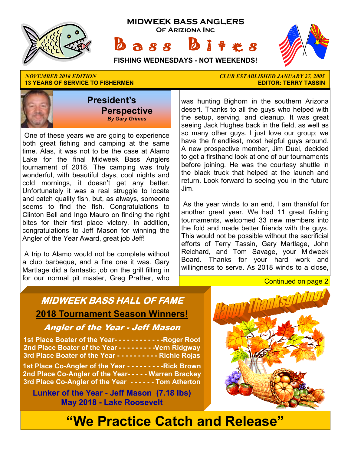

**13 YEARS OF SERVICE TO FISHERMEN** 



 One of these years we are going to experience both great fishing and camping at the same time. Alas, it was not to be the case at Alamo Lake for the final Midweek Bass Anglers tournament of 2018. The camping was truly wonderful, with beautiful days, cool nights and cold mornings, it doesn't get any better. Unfortunately it was a real struggle to locate and catch quality fish, but, as always, someone seems to find the fish. Congratulations to Clinton Bell and Ingo Mauro on finding the right bites for their first place victory. In addition, congratulations to Jeff Mason for winning the Angler of the Year Award, great job Jeff!

 A trip to Alamo would not be complete without a club barbeque, and a fine one it was. Gary Martlage did a fantastic job on the grill filling in for our normal pit master, Greg Prather, who

*NOVEMBER 2018 EDITION CLUB ESTABLISHED JANUARY 27, 2005* 

was hunting Bighorn in the southern Arizona desert. Thanks to all the guys who helped with the setup, serving, and cleanup. It was great seeing Jack Hughes back in the field, as well as so many other guys. I just love our group; we have the friendliest, most helpful guys around. A new prospective member, Jim Duel, decided to get a firsthand look at one of our tournaments before joining. He was the courtesy shuttle in the black truck that helped at the launch and return. Look forward to seeing you in the future Jim.

 As the year winds to an end, I am thankful for another great year. We had 11 great fishing tournaments, welcomed 33 new members into the fold and made better friends with the guys. This would not be possible without the sacrificial efforts of Terry Tassin, Gary Martlage, John Reichard, and Tom Savage, your Midweek Board. Thanks for your hard work and willingness to serve. As 2018 winds to a close,

#### Continued on page 2

# **MIDWEEK BASS HALL OF FAME 2018 Tournament Season Winners!**

#### Angler of the Year - Jeff Mason

**1st Place Boater of the Year- - - - - - - - - - - -Roger Root 2nd Place Boater of the Year - - - - - - - - -Vern Ridgway 3rd Place Boater of the Year - - - - - - - - - - Richie Rojas** 

**1st Place Co-Angler of the Year - - - - - - - - -Rick Brown 2nd Place Co-Angler of the Year- - - - - Warren Brackey 3rd Place Co-Angler of the Year - - - - - - Tom Atherton** 

**Lunker of the Year - Jeff Mason (7.18 lbs) May 2018 - Lake Roosevelt** 



# **"We Practice Catch and Release"**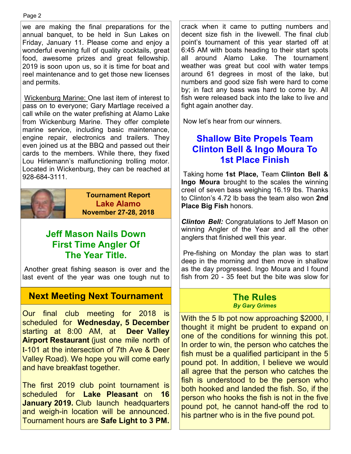#### Page 2

we are making the final preparations for the annual banquet, to be held in Sun Lakes on Friday, January 11. Please come and enjoy a wonderful evening full of quality cocktails, great food, awesome prizes and great fellowship. 2019 is soon upon us, so it is time for boat and reel maintenance and to get those new licenses and permits.

 Wickenburg Marine: One last item of interest to pass on to everyone; Gary Martlage received a call while on the water prefishing at Alamo Lake from Wickenburg Marine. They offer complete marine service, including basic maintenance, engine repair, electronics and trailers. They even joined us at the BBQ and passed out their cards to the members. While there, they fixed Lou Hirlemann's malfunctioning trolling motor. Located in Wickenburg, they can be reached at 928-684-3111.



**Tournament Report Lake Alamo November 27-28, 2018**

# **Jeff Mason Nails Down First Time Angler Of The Year Title.**

 Another great fishing season is over and the last event of the year was one tough nut to

## **Next Meeting Next Tournament**

Our final club meeting for 2018 is scheduled for **Wednesday, 5 December**  starting at 8:00 AM, at **Deer Valley Airport Restaurant** (just one mile north of I-101 at the intersection of 7th Ave & Deer Valley Road). We hope you will come early and have breakfast together.

The first 2019 club point tournament is scheduled for **Lake Pleasant** on **16 January 2019.** Club launch headquarters and weigh-in location will be announced. Tournament hours are **Safe Light to 3 PM.**  crack when it came to putting numbers and decent size fish in the livewell. The final club point's tournament of this year started off at 6:45 AM with boats heading to their start spots all around Alamo Lake. The tournament weather was great but cool with water temps around 61 degrees in most of the lake, but numbers and good size fish were hard to come by; in fact any bass was hard to come by. All fish were released back into the lake to live and fight again another day.

Now let's hear from our winners.

## **Shallow Bite Propels Team Clinton Bell & Ingo Moura To 1st Place Finish**

 Taking home **1st Place,** Team **Clinton Bell & Ingo Moura** brought to the scales the winning creel of seven bass weighing 16.19 lbs. Thanks to Clinton's 4.72 lb bass the team also won **2nd Place Big Fish** honors.

*Clinton Bell:* Congratulations to Jeff Mason on winning Angler of the Year and all the other anglers that finished well this year.

 Pre-fishing on Monday the plan was to start deep in the morning and then move in shallow as the day progressed. Ingo Moura and I found fish from 20 - 35 feet but the bite was slow for

#### **The Rules**  *By Gary Grimes*

With the 5 lb pot now approaching \$2000, I thought it might be prudent to expand on one of the conditions for winning this pot. In order to win, the person who catches the fish must be a qualified participant in the 5 pound pot. In addition, I believe we would all agree that the person who catches the fish is understood to be the person who both hooked and landed the fish. So, if the person who hooks the fish is not in the five pound pot, he cannot hand-off the rod to his partner who is in the five pound pot.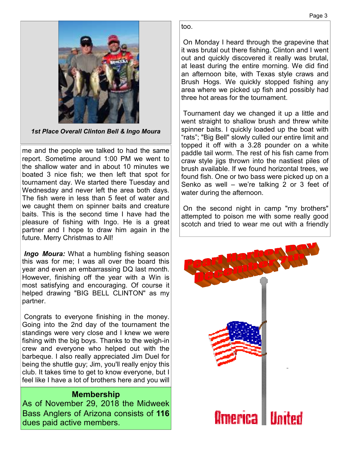

*1st Place Overall Clinton Bell & Ingo Moura* 

me and the people we talked to had the same report. Sometime around 1:00 PM we went to the shallow water and in about 10 minutes we boated 3 nice fish; we then left that spot for tournament day. We started there Tuesday and Wednesday and never left the area both days. The fish were in less than 5 feet of water and we caught them on spinner baits and creature baits. This is the second time I have had the pleasure of fishing with Ingo. He is a great partner and I hope to draw him again in the future. Merry Christmas to All!

*Ingo Moura:* What a humbling fishing season this was for me; I was all over the board this year and even an embarrassing DQ last month. However, finishing off the year with a Win is most satisfying and encouraging. Of course it helped drawing "BIG BELL CLINTON" as my partner.

 Congrats to everyone finishing in the money. Going into the 2nd day of the tournament the standings were very close and I knew we were fishing with the big boys. Thanks to the weigh-in crew and everyone who helped out with the barbeque. I also really appreciated Jim Duel for being the shuttle guy; Jim, you'll really enjoy this club. It takes time to get to know everyone, but I feel like I have a lot of brothers here and you will

#### **Membership**

As of November 29, 2018 the Midweek Bass Anglers of Arizona consists of **116**  dues paid active members.

too.

 On Monday I heard through the grapevine that it was brutal out there fishing. Clinton and I went out and quickly discovered it really was brutal, at least during the entire morning. We did find an afternoon bite, with Texas style craws and Brush Hogs. We quickly stopped fishing any area where we picked up fish and possibly had three hot areas for the tournament.

 Tournament day we changed it up a little and went straight to shallow brush and threw white spinner baits. I quickly loaded up the boat with "rats"; "Big Bell" slowly culled our entire limit and topped it off with a 3.28 pounder on a white paddle tail worm. The rest of his fish came from craw style jigs thrown into the nastiest piles of brush available. If we found horizontal trees, we found fish. One or two bass were picked up on a Senko as well – we're talking 2 or 3 feet of water during the afternoon.

 On the second night in camp "my brothers" attempted to poison me with some really good scotch and tried to wear me out with a friendly

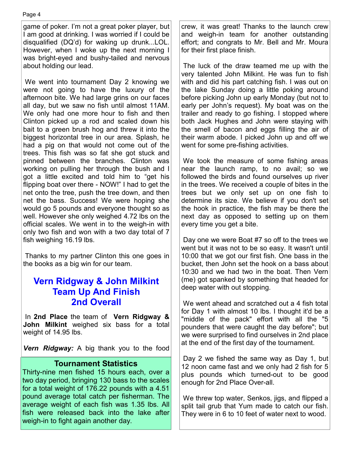game of poker. I'm not a great poker player, but I am good at drinking. I was worried if I could be disqualified (DQ'd) for waking up drunk...LOL. However, when I woke up the next morning I was bright-eyed and bushy-tailed and nervous about holding our lead.

 We went into tournament Day 2 knowing we were not going to have the luxury of the afternoon bite. We had large grins on our faces all day, but we saw no fish until almost 11AM. We only had one more hour to fish and then Clinton picked up a rod and scaled down his bait to a green brush hog and threw it into the biggest horizontal tree in our area. Splash, he had a pig on that would not come out of the trees. This fish was so fat she got stuck and pinned between the branches. Clinton was working on pulling her through the bush and I got a little excited and told him to "get his flipping boat over there - NOW!" I had to get the net onto the tree, push the tree down, and then net the bass. Success! We were hoping she would go 5 pounds and everyone thought so as well. However she only weighed 4.72 lbs on the official scales. We went in to the weigh-in with only two fish and won with a two day total of 7 fish weighing 16.19 lbs.

 Thanks to my partner Clinton this one goes in the books as a big win for our team.

## **Vern Ridgway & John Milkint Team Up And Finish 2nd Overall**

 In **2nd Place** the team of **Vern Ridgway & John Milkint** weighed six bass for a total weight of 14.95 lbs.

*Vern Ridgway:* A big thank you to the food

#### **Tournament Statistics**

Thirty-nine men fished 15 hours each, over a two day period, bringing 130 bass to the scales for a total weight of 176.22 pounds with a 4.51 pound average total catch per fisherman. The average weight of each fish was 1.35 lbs. All fish were released back into the lake after weigh-in to fight again another day.

crew, it was great! Thanks to the launch crew and weigh-in team for another outstanding effort; and congrats to Mr. Bell and Mr. Moura for their first place finish.

 The luck of the draw teamed me up with the very talented John Milkint. He was fun to fish with and did his part catching fish. I was out on the lake Sunday doing a little poking around before picking John up early Monday (but not to early per John's request). My boat was on the trailer and ready to go fishing. I stopped where both Jack Hughes and John were staying with the smell of bacon and eggs filling the air of their warm abode. I picked John up and off we went for some pre-fishing activities.

 We took the measure of some fishing areas near the launch ramp, to no avail; so we followed the birds and found ourselves up river in the trees. We received a couple of bites in the trees but we only set up on one fish to determine its size. We believe if you don't set the hook in practice, the fish may be there the next day as opposed to setting up on them every time you get a bite.

 Day one we were Boat #7 so off to the trees we went but it was not to be so easy. It wasn't until 10:00 that we got our first fish. One bass in the bucket, then John set the hook on a bass about 10:30 and we had two in the boat. Then Vern (me) got spanked by something that headed for deep water with out stopping.

 We went ahead and scratched out a 4 fish total for Day 1 with almost 10 lbs. I thought it'd be a "middle of the pack" effort with all the "5 pounders that were caught the day before"; but we were surprised to find ourselves in 2nd place at the end of the first day of the tournament.

 Day 2 we fished the same way as Day 1, but 12 noon came fast and we only had 2 fish for 5 plus pounds which turned-out to be good enough for 2nd Place Over-all.

 We threw top water, Senkos, jigs, and flipped a split tail grub that Yum made to catch our fish. They were in 6 to 10 feet of water next to wood.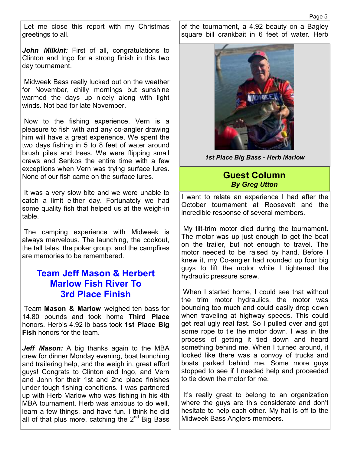Let me close this report with my Christmas greetings to all.

*John Milkint:* First of all, congratulations to Clinton and Ingo for a strong finish in this two day tournament.

 Midweek Bass really lucked out on the weather for November, chilly mornings but sunshine warmed the days up nicely along with light winds. Not bad for late November.

 Now to the fishing experience. Vern is a pleasure to fish with and any co-angler drawing him will have a great experience. We spent the two days fishing in 5 to 8 feet of water around brush piles and trees. We were flipping small craws and Senkos the entire time with a few exceptions when Vern was trying surface lures. None of our fish came on the surface lures.

 It was a very slow bite and we were unable to catch a limit either day. Fortunately we had some quality fish that helped us at the weigh-in table.

 The camping experience with Midweek is always marvelous. The launching, the cookout, the tall tales, the poker group, and the campfires are memories to be remembered.

### **Team Jeff Mason & Herbert Marlow Fish River To 3rd Place Finish**

 Team **Mason & Marlow** weighed ten bass for 14.80 pounds and took home **Third Place**  honors. Herb's 4.92 lb bass took **1st Place Big Fish** honors for the team.

*Jeff Mason:* A big thanks again to the MBA crew for dinner Monday evening, boat launching and trailering help, and the weigh in, great effort guys! Congrats to Clinton and Ingo, and Vern and John for their 1st and 2nd place finishes under tough fishing conditions. I was partnered up with Herb Marlow who was fishing in his 4th MBA tournament. Herb was anxious to do well, learn a few things, and have fun. I think he did all of that plus more, catching the  $2^{nd}$  Big Bass of the tournament, a 4.92 beauty on a Bagley square bill crankbait in 6 feet of water. Herb



*1st Place Big Bass - Herb Marlow* 

#### **Guest Column**  *By Greg Utton*

I want to relate an experience I had after the October tournament at Roosevelt and the incredible response of several members.

 My tilt-trim motor died during the tournament. The motor was up just enough to get the boat on the trailer, but not enough to travel. The motor needed to be raised by hand. Before I knew it, my Co-angler had rounded up four big guys to lift the motor while I tightened the hydraulic pressure screw.

 When I started home, I could see that without the trim motor hydraulics, the motor was bouncing too much and could easily drop down when traveling at highway speeds. This could get real ugly real fast. So I pulled over and got some rope to tie the motor down. I was in the process of getting it tied down and heard something behind me. When I turned around, it looked like there was a convoy of trucks and boats parked behind me. Some more guys stopped to see if I needed help and proceeded to tie down the motor for me.

 It's really great to belong to an organization where the guys are this considerate and don't hesitate to help each other. My hat is off to the Midweek Bass Anglers members.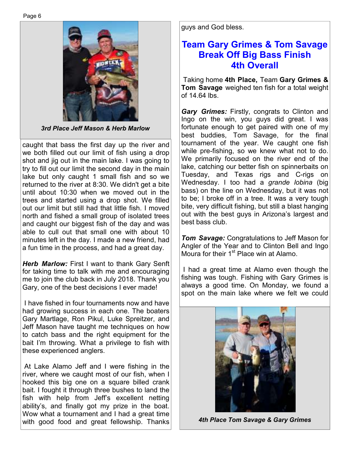

*3rd Place Jeff Mason & Herb Marlow*

caught that bass the first day up the river and we both filled out our limit of fish using a drop shot and jig out in the main lake. I was going to try to fill out our limit the second day in the main lake but only caught 1 small fish and so we returned to the river at 8:30. We didn't get a bite until about 10:30 when we moved out in the trees and started using a drop shot. We filled out our limit but still had that little fish. I moved north and fished a small group of isolated trees and caught our biggest fish of the day and was able to cull out that small one with about 10 minutes left in the day. I made a new friend, had a fun time in the process, and had a great day.

*Herb Marlow:* First I want to thank Gary Senft for taking time to talk with me and encouraging me to join the club back in July 2018. Thank you Gary, one of the best decisions I ever made!

 I have fished in four tournaments now and have had growing success in each one. The boaters Gary Martlage, Ron Pikul, Luke Spreitzer, and Jeff Mason have taught me techniques on how to catch bass and the right equipment for the bait I'm throwing. What a privilege to fish with these experienced anglers.

 At Lake Alamo Jeff and I were fishing in the river, where we caught most of our fish, when I hooked this big one on a square billed crank bait. I fought it through three bushes to land the fish with help from Jeff's excellent netting ability's, and finally got my prize in the boat. Wow what a tournament and I had a great time with good food and great fellowship. Thanks guys and God bless.

## **Team Gary Grimes & Tom Savage Break Off Big Bass Finish 4th Overall**

 Taking home **4th Place,** Team **Gary Grimes & Tom Savage** weighed ten fish for a total weight of 14.64 lbs.

*Gary Grimes:* Firstly, congrats to Clinton and Ingo on the win, you guys did great. I was fortunate enough to get paired with one of my best buddies, Tom Savage, for the final tournament of the year. We caught one fish while pre-fishing, so we knew what not to do. We primarily focused on the river end of the lake, catching our better fish on spinnerbaits on Tuesday, and Texas rigs and C-rigs on Wednesday. I too had a *grande lobina* (big bass) on the line on Wednesday, but it was not to be; I broke off in a tree. It was a very tough bite, very difficult fishing, but still a blast hanging out with the best guys in Arizona's largest and best bass club.

*Tom Savage:* Congratulations to Jeff Mason for Angler of the Year and to Clinton Bell and Ingo Moura for their 1<sup>st</sup> Place win at Alamo.

 I had a great time at Alamo even though the fishing was tough. Fishing with Gary Grimes is always a good time. On Monday, we found a spot on the main lake where we felt we could



*4th Place Tom Savage & Gary Grimes*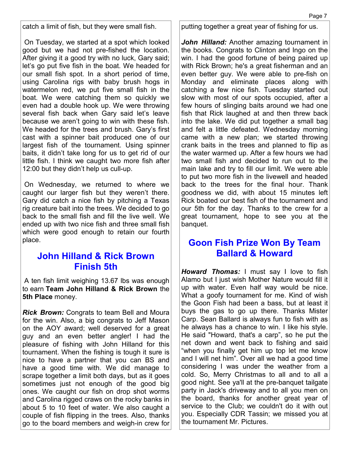catch a limit of fish, but they were small fish.

 On Tuesday, we started at a spot which looked good but we had not pre-fished the location. After giving it a good try with no luck, Gary said; let's go put five fish in the boat. We headed for our small fish spot. In a short period of time, using Carolina rigs with baby brush hogs in watermelon red, we put five small fish in the boat. We were catching them so quickly we even had a double hook up. We were throwing several fish back when Gary said let's leave because we aren't going to win with these fish. We headed for the trees and brush. Gary's first cast with a spinner bait produced one of our largest fish of the tournament. Using spinner baits, it didn't take long for us to get rid of our little fish. I think we caught two more fish after 12:00 but they didn't help us cull-up.

 On Wednesday, we returned to where we caught our larger fish but they weren't there. Gary did catch a nice fish by pitching a Texas rig creature bait into the trees. We decided to go back to the small fish and fill the live well. We ended up with two nice fish and three small fish which were good enough to retain our fourth place.

## **John Hilland & Rick Brown Finish 5th**

 A ten fish limit weighing 13.67 lbs was enough to earn **Team John Hilland & Rick Brown** the **5th Place** money.

*Rick Brown:* Congrats to team Bell and Moura for the win. Also, a big congrats to Jeff Mason on the AOY award; well deserved for a great guy and an even better angler! I had the pleasure of fishing with John Hilland for this tournament. When the fishing is tough it sure is nice to have a partner that you can BS and have a good time with. We did manage to scrape together a limit both days, but as it goes sometimes just not enough of the good big ones. We caught our fish on drop shot worms and Carolina rigged craws on the rocky banks in about 5 to 10 feet of water. We also caught a couple of fish flipping in the trees. Also, thanks go to the board members and weigh-in crew for putting together a great year of fishing for us.

*John Hilland:* Another amazing tournament in the books. Congrats to Clinton and Ingo on the win. I had the good fortune of being paired up with Rick Brown; he's a great fisherman and an even better guy. We were able to pre-fish on Monday and eliminate places along with catching a few nice fish. Tuesday started out slow with most of our spots occupied, after a few hours of slinging baits around we had one fish that Rick laughed at and then threw back into the lake. We did put together a small bag and felt a little defeated. Wednesday morning came with a new plan; we started throwing crank baits in the trees and planned to flip as the water warmed up. After a few hours we had two small fish and decided to run out to the main lake and try to fill our limit. We were able to put two more fish in the livewell and headed back to the trees for the final hour. Thank goodness we did, with about 15 minutes left Rick boated our best fish of the tournament and our 5th for the day. Thanks to the crew for a great tournament, hope to see you at the banquet.

## **Goon Fish Prize Won By Team Ballard & Howard**

*Howard Thomas:* I must say I love to fish Alamo but I just wish Mother Nature would fill it up with water. Even half way would be nice. What a goofy tournament for me. Kind of wish the Goon Fish had been a bass, but at least it buys the gas to go up there. Thanks Mister Carp. Sean Ballard is always fun to fish with as he always has a chance to win. I like his style. He said "Howard, that's a carp", so he put the net down and went back to fishing and said "when you finally get him up top let me know and I will net him". Over all we had a good time considering I was under the weather from a cold. So, Merry Christmas to all and to all a good night. See ya'll at the pre-banquet tailgate party in Jack's driveway and to all you men on the board, thanks for another great year of service to the Club; we couldn't do it with out you. Especially CDR Tassin; we missed you at the tournament Mr. Pictures.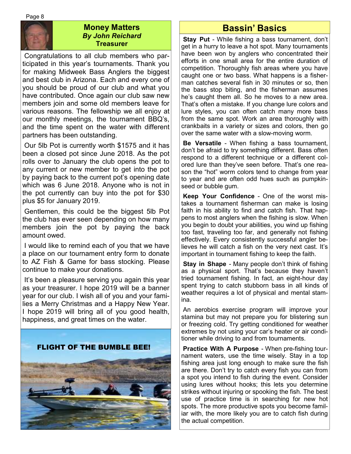

#### **Money Matters**  *By John Reichard*  **Treasurer**

 Congratulations to all club members who participated in this year's tournaments. Thank you for making Midweek Bass Anglers the biggest and best club in Arizona. Each and every one of you should be proud of our club and what you have contributed. Once again our club saw new members join and some old members leave for various reasons. The fellowship we all enjoy at our monthly meetings, the tournament BBQ's, and the time spent on the water with different partners has been outstanding.

 Our 5lb Pot is currently worth \$1575 and it has been a closed pot since June 2018. As the pot rolls over to January the club opens the pot to any current or new member to get into the pot by paying back to the current pot's opening date which was 6 June 2018. Anyone who is not in the pot currently can buy into the pot for \$30 plus \$5 for January 2019.

 Gentlemen, this could be the biggest 5lb Pot the club has ever seen depending on how many members join the pot by paying the back amount owed.

 I would like to remind each of you that we have a place on our tournament entry form to donate to AZ Fish & Game for bass stocking. Please continue to make your donations.

 It's been a pleasure serving you again this year as your treasurer. I hope 2019 will be a banner year for our club. I wish all of you and your families a Merry Christmas and a Happy New Year. I hope 2019 will bring all of you good health, happiness, and great times on the water.



# **Bassin' Basics**

 **Stay Put** - While fishing a bass tournament, don't get in a hurry to leave a hot spot. Many tournaments have been won by anglers who concentrated their efforts in one small area for the entire duration of competition. Thoroughly fish areas where you have caught one or two bass. What happens is a fisherman catches several fish in 30 minutes or so, then the bass stop biting, and the fisherman assumes he's caught them all. So he moves to a new area. That's often a mistake. If you change lure colors and lure styles, you can often catch many more bass from the same spot. Work an area thoroughly with crankbaits in a variety or sizes and colors, then go over the same water with a slow-moving worm.

**Be Versatile** - When fishing a bass tournament, don't be afraid to try something different. Bass often respond to a different technique or a different colored lure than they've seen before. That's one reason the "hot" worm colors tend to change from year to year and are often odd hues such as pumpkinseed or bubble gum.

**Keep Your Confidence** - One of the worst mistakes a tournament fisherman can make is losing faith in his ability to find and catch fish. That happens to most anglers when the fishing is slow. When you begin to doubt your abilities, you wind up fishing too fast, traveling too far, and generally not fishing effectively. Every consistently successful angler believes he will catch a fish on the very next cast. It's important in tournament fishing to keep the faith.

 **Stay in Shape** - Many people don't think of fishing as a physical sport. That's because they haven't tried tournament fishing. In fact, an eight-hour day spent trying to catch stubborn bass in all kinds of weather requires a lot of physical and mental stamina.

 An aerobics exercise program will improve your stamina but may not prepare you for blistering sun or freezing cold. Try getting conditioned for weather extremes by not using your car's heater or air conditioner while driving to and from tournaments.

**Practice With A Purpose** - When pre-fishing tournament waters, use the time wisely. Stay in a top fishing area just long enough to make sure the fish are there. Don't try to catch every fish you can from a spot you intend to fish during the event. Consider using lures without hooks; this lets you determine strikes without injuring or spooking the fish. The best use of practice time is in searching for new hot spots. The more productive spots you become familiar with, the more likely you are to catch fish during the actual competition.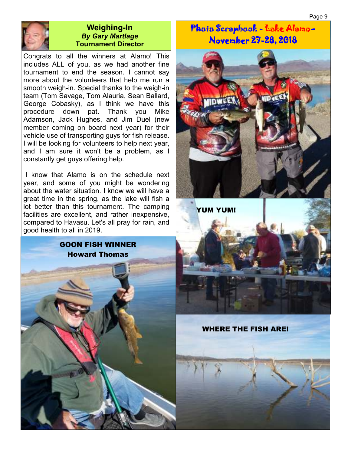Page 9



#### **Weighing-In**  *By Gary Martlage*  **Tournament Director**

Congrats to all the winners at Alamo! This includes ALL of you, as we had another fine tournament to end the season. I cannot say more about the volunteers that help me run a smooth weigh-in. Special thanks to the weigh-in team (Tom Savage, Tom Alauria, Sean Ballard, George Cobasky), as I think we have this procedure down pat. Thank you Mike Adamson, Jack Hughes, and Jim Duel (new member coming on board next year) for their vehicle use of transporting guys for fish release. I will be looking for volunteers to help next year, and I am sure it won't be a problem, as I constantly get guys offering help.

 I know that Alamo is on the schedule next year, and some of you might be wondering about the water situation. I know we will have a great time in the spring, as the lake will fish a lot better than this tournament. The camping facilities are excellent, and rather inexpensive, compared to Havasu. Let's all pray for rain, and good health to all in 2019.



Photo Scrapbook - Lake Alamo-November 27-28, 2018